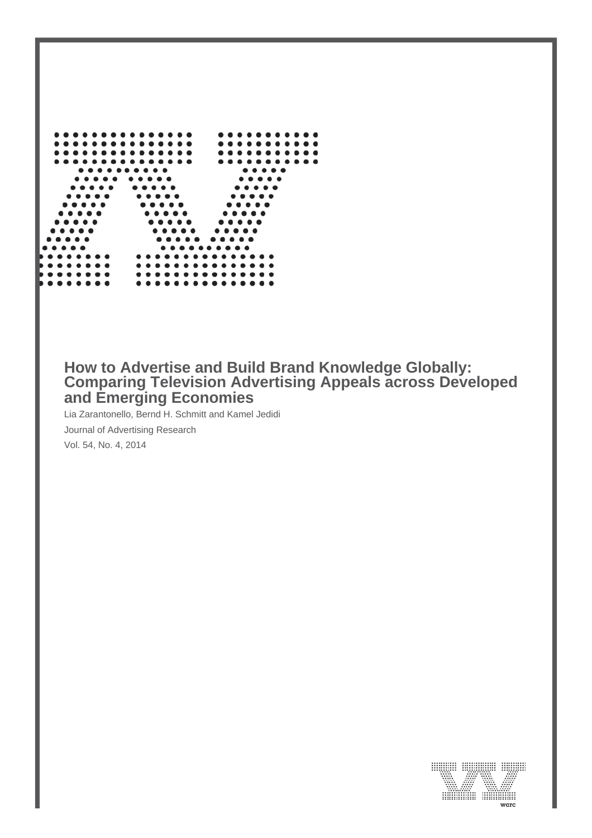

# **How to Advertise and Build Brand Knowledge Globally: Comparing Television Advertising Appeals across Developed and Emerging Economies**

Lia Zarantonello, Bernd H. Schmitt and Kamel Jedidi

Journal of Advertising Research

Vol. 54, No. 4, 2014

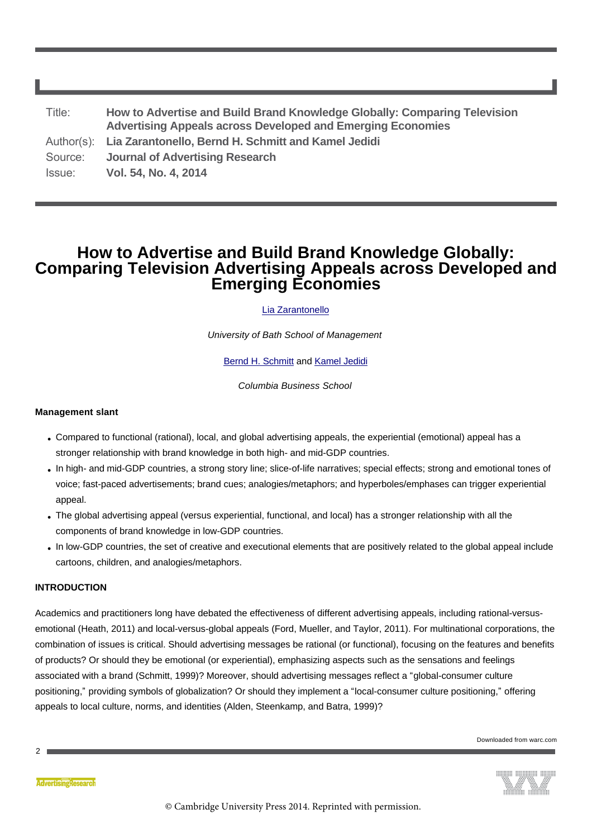| Title:  | How to Advertise and Build Brand Knowledge Globally: Comparing Television<br><b>Advertising Appeals across Developed and Emerging Economies</b> |
|---------|-------------------------------------------------------------------------------------------------------------------------------------------------|
|         | Author(s): Lia Zarantonello, Bernd H. Schmitt and Kamel Jedidi                                                                                  |
| Source: | <b>Journal of Advertising Research</b>                                                                                                          |
| Issue:  | Vol. 54, No. 4, 2014                                                                                                                            |

# **How to Advertise and Build Brand Knowledge Globally: Comparing Television Advertising Appeals across Developed and Emerging Economies**

[Lia Zarantonello](#page-21-0)

*University of Bath School of Management*

[Bernd H. Schmitt](#page-21-1) and [Kamel Jedidi](#page-22-0)

*Columbia Business School*

# **Management slant**

- Compared to functional (rational), local, and global advertising appeals, the experiential (emotional) appeal has a stronger relationship with brand knowledge in both high- and mid-GDP countries.
- In high- and mid-GDP countries, a strong story line; slice-of-life narratives; special effects; strong and emotional tones of voice; fast-paced advertisements; brand cues; analogies/metaphors; and hyperboles/emphases can trigger experiential appeal.
- The global advertising appeal (versus experiential, functional, and local) has a stronger relationship with all the components of brand knowledge in low-GDP countries.
- In low-GDP countries, the set of creative and executional elements that are positively related to the global appeal include cartoons, children, and analogies/metaphors.

# **INTRODUCTION**

Academics and practitioners long have debated the effectiveness of different advertising appeals, including rational-versusemotional (Heath, 2011) and local-versus-global appeals (Ford, Mueller, and Taylor, 2011). For multinational corporations, the combination of issues is critical. Should advertising messages be rational (or functional), focusing on the features and benefits of products? Or should they be emotional (or experiential), emphasizing aspects such as the sensations and feelings associated with a brand (Schmitt, 1999)? Moreover, should advertising messages reflect a "global-consumer culture positioning," providing symbols of globalization? Or should they implement a "local-consumer culture positioning," offering appeals to local culture, norms, and identities (Alden, Steenkamp, and Batra, 1999)?

Downloaded from warc.com



 $\mathfrak{p}$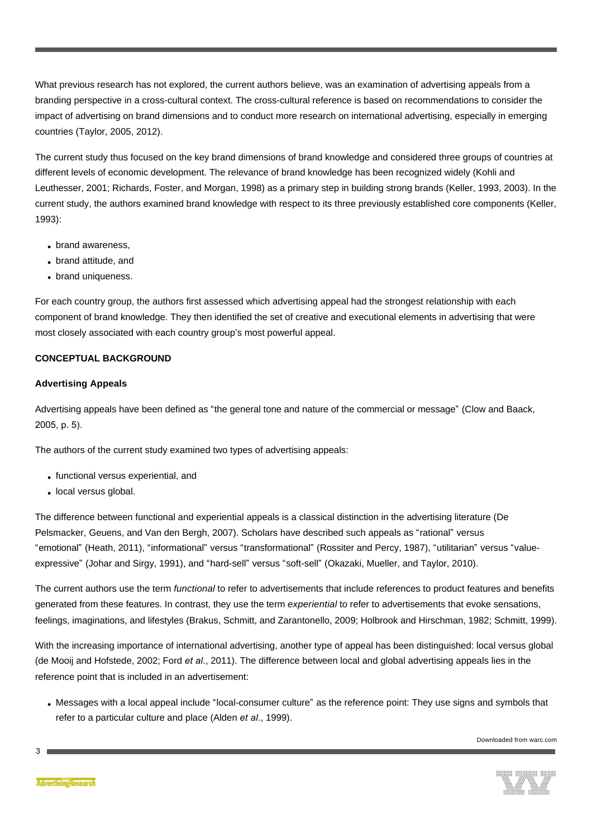What previous research has not explored, the current authors believe, was an examination of advertising appeals from a branding perspective in a cross-cultural context. The cross-cultural reference is based on recommendations to consider the impact of advertising on brand dimensions and to conduct more research on international advertising, especially in emerging countries (Taylor, 2005, 2012).

The current study thus focused on the key brand dimensions of brand knowledge and considered three groups of countries at different levels of economic development. The relevance of brand knowledge has been recognized widely (Kohli and Leuthesser, 2001; Richards, Foster, and Morgan, 1998) as a primary step in building strong brands (Keller, 1993, 2003). In the current study, the authors examined brand knowledge with respect to its three previously established core components (Keller, 1993):

- brand awareness,
- brand attitude, and
- brand uniqueness.

For each country group, the authors first assessed which advertising appeal had the strongest relationship with each component of brand knowledge. They then identified the set of creative and executional elements in advertising that were most closely associated with each country group's most powerful appeal.

# **CONCEPTUAL BACKGROUND**

# **Advertising Appeals**

Advertising appeals have been defined as "the general tone and nature of the commercial or message" (Clow and Baack, 2005, p. 5).

The authors of the current study examined two types of advertising appeals:

- functional versus experiential, and
- local versus global.

The difference between functional and experiential appeals is a classical distinction in the advertising literature (De Pelsmacker, Geuens, and Van den Bergh, 2007). Scholars have described such appeals as "rational" versus "emotional" (Heath, 2011), "informational" versus "transformational" (Rossiter and Percy, 1987), "utilitarian" versus "valueexpressive" (Johar and Sirgy, 1991), and "hard-sell" versus "soft-sell" (Okazaki, Mueller, and Taylor, 2010).

The current authors use the term *functional* to refer to advertisements that include references to product features and benefits generated from these features. In contrast, they use the term *experiential* to refer to advertisements that evoke sensations, feelings, imaginations, and lifestyles (Brakus, Schmitt, and Zarantonello, 2009; Holbrook and Hirschman, 1982; Schmitt, 1999).

With the increasing importance of international advertising, another type of appeal has been distinguished: local versus global (de Mooij and Hofstede, 2002; Ford *et al.*, 2011). The difference between local and global advertising appeals lies in the reference point that is included in an advertisement:

• Messages with a local appeal include "local-consumer culture" as the reference point: They use signs and symbols that refer to a particular culture and place (Alden *et al.*, 1999).

Downloaded from warc.com

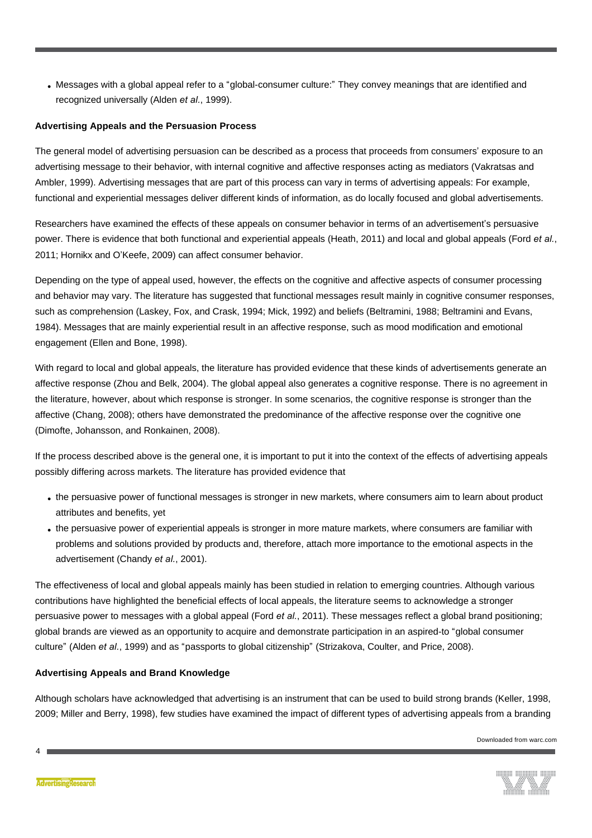• Messages with a global appeal refer to a "global-consumer culture:" They convey meanings that are identified and recognized universally (Alden *et al.*, 1999).

# **Advertising Appeals and the Persuasion Process**

The general model of advertising persuasion can be described as a process that proceeds from consumers' exposure to an advertising message to their behavior, with internal cognitive and affective responses acting as mediators (Vakratsas and Ambler, 1999). Advertising messages that are part of this process can vary in terms of advertising appeals: For example, functional and experiential messages deliver different kinds of information, as do locally focused and global advertisements.

Researchers have examined the effects of these appeals on consumer behavior in terms of an advertisement's persuasive power. There is evidence that both functional and experiential appeals (Heath, 2011) and local and global appeals (Ford *et al.*, 2011; Hornikx and O'Keefe, 2009) can affect consumer behavior.

Depending on the type of appeal used, however, the effects on the cognitive and affective aspects of consumer processing and behavior may vary. The literature has suggested that functional messages result mainly in cognitive consumer responses, such as comprehension (Laskey, Fox, and Crask, 1994; Mick, 1992) and beliefs (Beltramini, 1988; Beltramini and Evans, 1984). Messages that are mainly experiential result in an affective response, such as mood modification and emotional engagement (Ellen and Bone, 1998).

With regard to local and global appeals, the literature has provided evidence that these kinds of advertisements generate an affective response (Zhou and Belk, 2004). The global appeal also generates a cognitive response. There is no agreement in the literature, however, about which response is stronger. In some scenarios, the cognitive response is stronger than the affective (Chang, 2008); others have demonstrated the predominance of the affective response over the cognitive one (Dimofte, Johansson, and Ronkainen, 2008).

If the process described above is the general one, it is important to put it into the context of the effects of advertising appeals possibly differing across markets. The literature has provided evidence that

- . the persuasive power of functional messages is stronger in new markets, where consumers aim to learn about product attributes and benefits, yet
- . the persuasive power of experiential appeals is stronger in more mature markets, where consumers are familiar with problems and solutions provided by products and, therefore, attach more importance to the emotional aspects in the advertisement (Chandy *et al.*, 2001).

The effectiveness of local and global appeals mainly has been studied in relation to emerging countries. Although various contributions have highlighted the beneficial effects of local appeals, the literature seems to acknowledge a stronger persuasive power to messages with a global appeal (Ford *et al.*, 2011). These messages reflect a global brand positioning; global brands are viewed as an opportunity to acquire and demonstrate participation in an aspired-to "global consumer culture" (Alden *et al.*, 1999) and as "passports to global citizenship" (Strizakova, Coulter, and Price, 2008).

# **Advertising Appeals and Brand Knowledge**

Although scholars have acknowledged that advertising is an instrument that can be used to build strong brands (Keller, 1998, 2009; Miller and Berry, 1998), few studies have examined the impact of different types of advertising appeals from a branding



 $\overline{A}$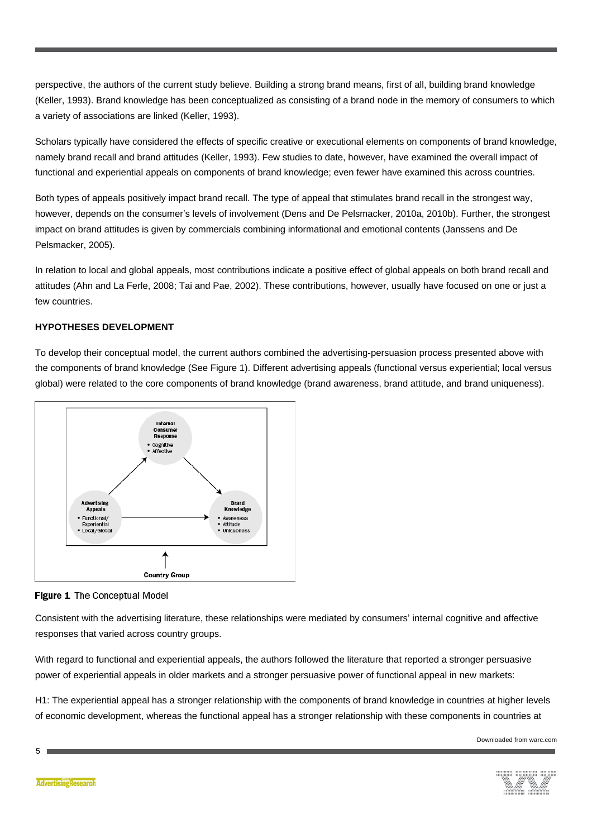perspective, the authors of the current study believe. Building a strong brand means, first of all, building brand knowledge (Keller, 1993). Brand knowledge has been conceptualized as consisting of a brand node in the memory of consumers to which a variety of associations are linked (Keller, 1993).

Scholars typically have considered the effects of specific creative or executional elements on components of brand knowledge, namely brand recall and brand attitudes (Keller, 1993). Few studies to date, however, have examined the overall impact of functional and experiential appeals on components of brand knowledge; even fewer have examined this across countries.

Both types of appeals positively impact brand recall. The type of appeal that stimulates brand recall in the strongest way, however, depends on the consumer's levels of involvement (Dens and De Pelsmacker, 2010a, 2010b). Further, the strongest impact on brand attitudes is given by commercials combining informational and emotional contents (Janssens and De Pelsmacker, 2005).

In relation to local and global appeals, most contributions indicate a positive effect of global appeals on both brand recall and attitudes (Ahn and La Ferle, 2008; Tai and Pae, 2002). These contributions, however, usually have focused on one or just a few countries.

# **HYPOTHESES DEVELOPMENT**

To develop their conceptual model, the current authors combined the advertising-persuasion process presented above with the components of brand knowledge (See Figure 1). Different advertising appeals (functional versus experiential; local versus global) were related to the core components of brand knowledge (brand awareness, brand attitude, and brand uniqueness).





Consistent with the advertising literature, these relationships were mediated by consumers' internal cognitive and affective responses that varied across country groups.

With regard to functional and experiential appeals, the authors followed the literature that reported a stronger persuasive power of experiential appeals in older markets and a stronger persuasive power of functional appeal in new markets:

H1: The experiential appeal has a stronger relationship with the components of brand knowledge in countries at higher levels of economic development, whereas the functional appeal has a stronger relationship with these components in countries at

Downloaded from warc.com



**AdvertisingResearch**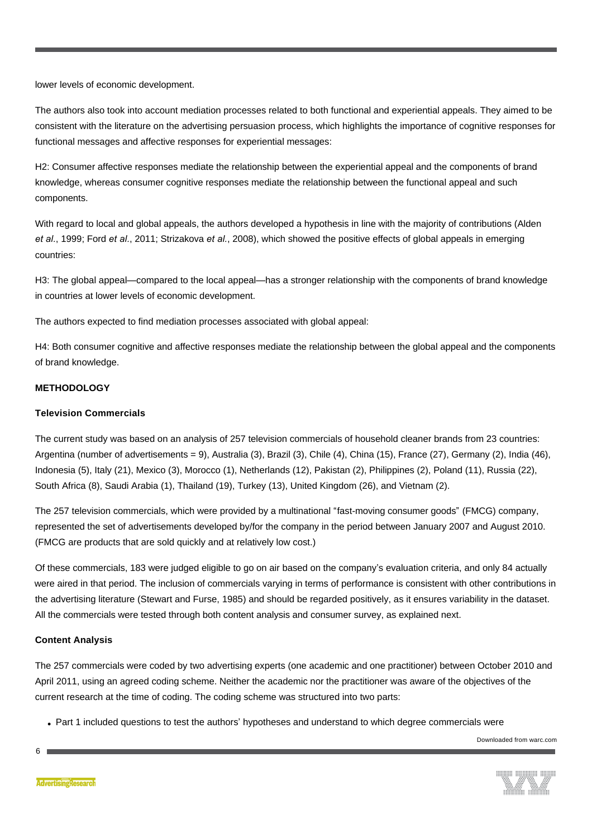lower levels of economic development.

The authors also took into account mediation processes related to both functional and experiential appeals. They aimed to be consistent with the literature on the advertising persuasion process, which highlights the importance of cognitive responses for functional messages and affective responses for experiential messages:

H2: Consumer affective responses mediate the relationship between the experiential appeal and the components of brand knowledge, whereas consumer cognitive responses mediate the relationship between the functional appeal and such components.

With regard to local and global appeals, the authors developed a hypothesis in line with the majority of contributions (Alden *et al.*, 1999; Ford *et al.*, 2011; Strizakova *et al.*, 2008), which showed the positive effects of global appeals in emerging countries:

H3: The global appeal—compared to the local appeal—has a stronger relationship with the components of brand knowledge in countries at lower levels of economic development.

The authors expected to find mediation processes associated with global appeal:

H4: Both consumer cognitive and affective responses mediate the relationship between the global appeal and the components of brand knowledge.

# **METHODOLOGY**

### **Television Commercials**

The current study was based on an analysis of 257 television commercials of household cleaner brands from 23 countries: Argentina (number of advertisements = 9), Australia (3), Brazil (3), Chile (4), China (15), France (27), Germany (2), India (46), Indonesia (5), Italy (21), Mexico (3), Morocco (1), Netherlands (12), Pakistan (2), Philippines (2), Poland (11), Russia (22), South Africa (8), Saudi Arabia (1), Thailand (19), Turkey (13), United Kingdom (26), and Vietnam (2).

The 257 television commercials, which were provided by a multinational "fast-moving consumer goods" (FMCG) company, represented the set of advertisements developed by/for the company in the period between January 2007 and August 2010. (FMCG are products that are sold quickly and at relatively low cost.)

Of these commercials, 183 were judged eligible to go on air based on the company's evaluation criteria, and only 84 actually were aired in that period. The inclusion of commercials varying in terms of performance is consistent with other contributions in the advertising literature (Stewart and Furse, 1985) and should be regarded positively, as it ensures variability in the dataset. All the commercials were tested through both content analysis and consumer survey, as explained next.

#### **Content Analysis**

The 257 commercials were coded by two advertising experts (one academic and one practitioner) between October 2010 and April 2011, using an agreed coding scheme. Neither the academic nor the practitioner was aware of the objectives of the current research at the time of coding. The coding scheme was structured into two parts:

• Part 1 included questions to test the authors' hypotheses and understand to which degree commercials were

Downloaded from warc.com

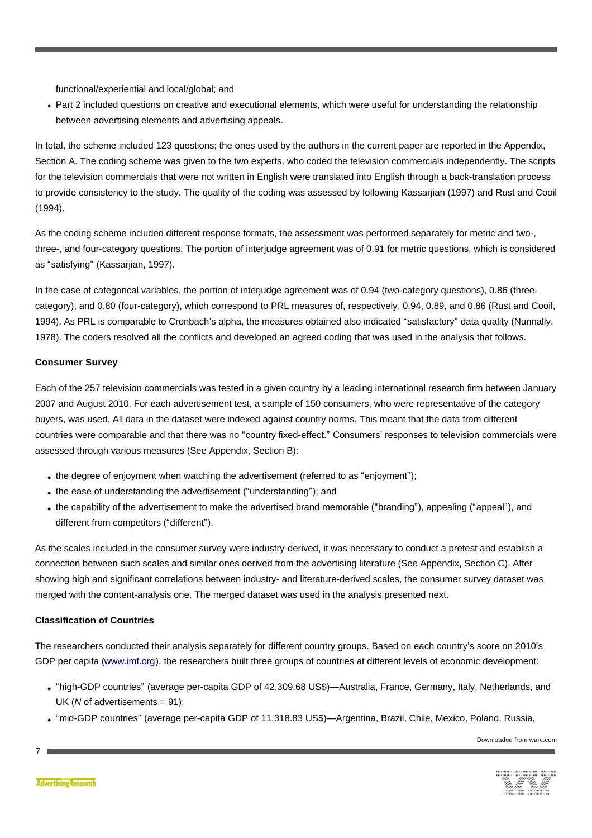functional/experiential and local/global; and

• Part 2 included questions on creative and executional elements, which were useful for understanding the relationship between advertising elements and advertising appeals.

In total, the scheme included 123 questions; the ones used by the authors in the current paper are reported in the Appendix, Section A. The coding scheme was given to the two experts, who coded the television commercials independently. The scripts for the television commercials that were not written in English were translated into English through a back-translation process to provide consistency to the study. The quality of the coding was assessed by following Kassarjian (1997) and Rust and Cooil (1994).

As the coding scheme included different response formats, the assessment was performed separately for metric and two-, three-, and four-category questions. The portion of interjudge agreement was of 0.91 for metric questions, which is considered as "satisfying" (Kassarjian, 1997).

In the case of categorical variables, the portion of interjudge agreement was of 0.94 (two-category questions), 0.86 (threecategory), and 0.80 (four-category), which correspond to PRL measures of, respectively, 0.94, 0.89, and 0.86 (Rust and Cooil, 1994). As PRL is comparable to Cronbach's alpha, the measures obtained also indicated "satisfactory" data quality (Nunnally, 1978). The coders resolved all the conflicts and developed an agreed coding that was used in the analysis that follows.

# **Consumer Survey**

Each of the 257 television commercials was tested in a given country by a leading international research firm between January 2007 and August 2010. For each advertisement test, a sample of 150 consumers, who were representative of the category buyers, was used. All data in the dataset were indexed against country norms. This meant that the data from different countries were comparable and that there was no "country fixed-effect." Consumers' responses to television commercials were assessed through various measures (See Appendix, Section B):

- the degree of enjoyment when watching the advertisement (referred to as "enjoyment");
- . the ease of understanding the advertisement ("understanding"); and
- <sup>l</sup> the capability of the advertisement to make the advertised brand memorable ("branding"), appealing ("appeal"), and different from competitors ("different").

As the scales included in the consumer survey were industry-derived, it was necessary to conduct a pretest and establish a connection between such scales and similar ones derived from the advertising literature (See Appendix, Section C). After showing high and significant correlations between industry- and literature-derived scales, the consumer survey dataset was merged with the content-analysis one. The merged dataset was used in the analysis presented next.

# **Classification of Countries**

The researchers conducted their analysis separately for different country groups. Based on each country's score on 2010's GDP per capita [\(www.imf.org](http://www.imf.org/)), the researchers built three groups of countries at different levels of economic development:

- <sup>l</sup> "high-GDP countries" (average per-capita GDP of 42,309.68 US\$)—Australia, France, Germany, Italy, Netherlands, and UK (*N* of advertisements = 91);
- <sup>l</sup> "mid-GDP countries" (average per-capita GDP of 11,318.83 US\$)—Argentina, Brazil, Chile, Mexico, Poland, Russia,

Downloaded from warc.com

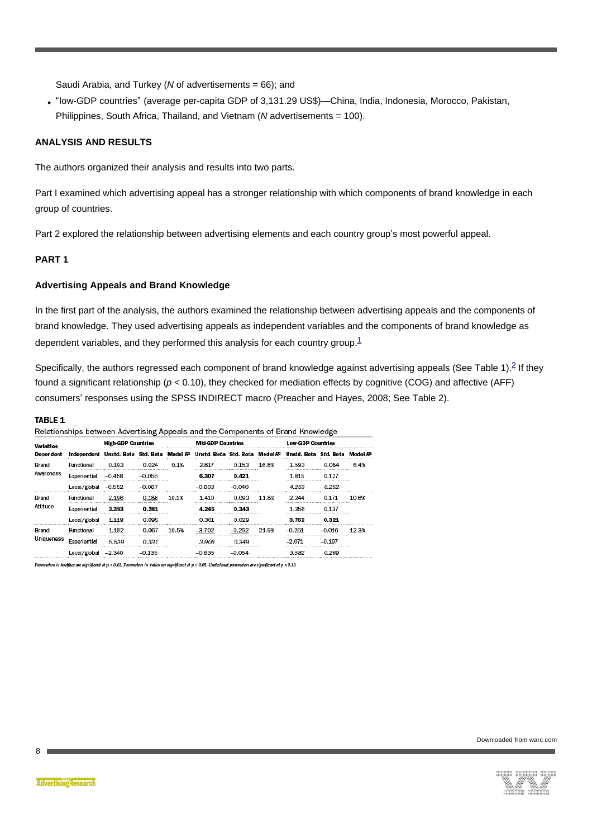Saudi Arabia, and Turkey (*N* of advertisements = 66); and

<sup>l</sup> "low-GDP countries" (average per-capita GDP of 3,131.29 US\$)—China, India, Indonesia, Morocco, Pakistan, Philippines, South Africa, Thailand, and Vietnam (*N* advertisements = 100).

#### **ANALYSIS AND RESULTS**

The authors organized their analysis and results into two parts.

Part I examined which advertising appeal has a stronger relationship with which components of brand knowledge in each group of countries.

Part 2 explored the relationship between advertising elements and each country group's most powerful appeal.

# **PART 1**

#### **Advertising Appeals and Brand Knowledge**

In the first part of the analysis, the authors examined the relationship between advertising appeals and the components of brand knowledge. They used advertising appeals as independent variables and the components of brand knowledge as dependent variables, and they performed this analysis for each country group. $1$ 

Specifically, the authors regressed each component of brand knowledge against advertising appeals (See Table 1).<sup>2</sup> If they found a significant relationship ( $p < 0.10$ ), they checked for mediation effects by cognitive (COG) and affective (AFF) consumers' responses using the SPSS INDIRECT macro (Preacher and Hayes, 2008; See Table 2).

#### TABLE 1

Relationships between Advertising Appeals and the Components of Brand Knowledge

| <b>Variables</b><br>Dependent |                                                          | <b>High-GDP Countries</b> |            |       | <b>Mid-GDP Countries</b> |           |       | <b>Low-GDP Countries</b>                                                                                                |            |       |  |
|-------------------------------|----------------------------------------------------------|---------------------------|------------|-------|--------------------------|-----------|-------|-------------------------------------------------------------------------------------------------------------------------|------------|-------|--|
|                               |                                                          |                           |            |       |                          |           |       | Independent Unstd. Beta Std. Beta Model R <sup>2</sup> Unstd. Beta Std. Beta Model R <sup>2</sup> Unstd. Beta Std. Beta |            |       |  |
| Brand<br>Awareness            | Functional                                               | 0.193                     | 0.024      | 0.1%  | 2.817                    | 0.153     | 16.8% | 1.593                                                                                                                   | 0.084      | 6.4%  |  |
|                               | Experiential                                             | $-0.458$                  | $-0.055$   |       | 6.307                    | 0.421     |       | 1.815<br><b>A P A R P A R P A R P A R P A R P A R P A R P A R P A R P A R P</b>                                         | 0.127      |       |  |
|                               | Local/global                                             | $-0.552$                  | $-0.067$   |       | $-0.603$                 | $-0.040$  |       | 4.253                                                                                                                   | 0.252      |       |  |
| Brand<br>Attitude             | Functional<br><b>A P A R P A R P A R P A P A R P A R</b> | 2.196                     | 0.186<br>. | 10.1% | 1.410                    | 0.093<br> | 11.8% | 2.244                                                                                                                   | 0.171<br>. | 10.6% |  |
|                               | Experiential                                             | 3,393                     | 0.281      |       | 4.245                    | 0.343     |       | 1.356                                                                                                                   | 0.137      |       |  |
|                               | Local/global                                             | 1.119                     | 0.095      |       | 0.361                    | 0.029     |       | 3.762                                                                                                                   | 0.321      |       |  |
| Brand<br>Uniqueness           | Functional                                               | 1.182                     | 0.067      | 10.5% | $-3.702$                 |           | 21.9% | $-0.251$                                                                                                                | -0.016     | 12.3% |  |
|                               | Experiential                                             | 5.539                     | 0.331      |       | 3.906                    | 0.349     |       | $-2.071$                                                                                                                | $-0.197$   |       |  |
|                               | Local/global                                             | $-2.340$                  |            |       | 635                      |           |       |                                                                                                                         |            |       |  |

.<br>ters in boldface are significant at p < 0.01. Parameters in italics are significant at p < 0.05. Underlined parameters are significant at p < 0.10.



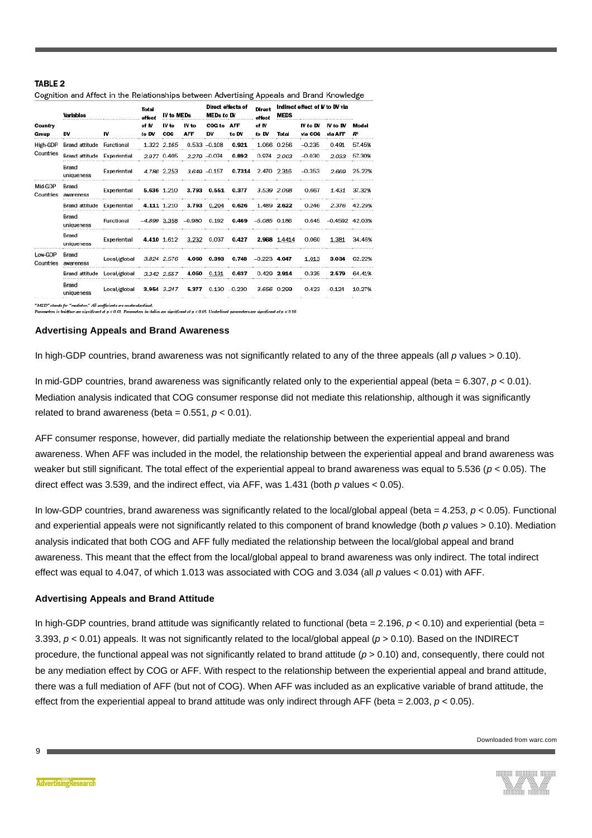#### TARI F 2

|                      | <b>Variables</b>    |              | Total<br>effect | IV to MEDs   |                                | Direct effects of<br><b>MEDs to DV</b> |                     | Direct<br>effect | Indirect effect of <b>V</b> to DV via<br><b>MEDS</b> |                     |                     |                         |
|----------------------|---------------------|--------------|-----------------|--------------|--------------------------------|----------------------------------------|---------------------|------------------|------------------------------------------------------|---------------------|---------------------|-------------------------|
| Country<br>Group     | DV                  | IV           | of IV<br>to DV  | IV to<br>COG | IV to<br><b>AFF</b>            | COG to<br>DV                           | <b>AFF</b><br>to DV | of IV<br>to DV   | Total                                                | IV to DV<br>via COG | IV to DV<br>via AFF | Model<br>R <sup>2</sup> |
| High-GDP             | Brand attitude      | Functional   |                 | 1.322 2.165  |                                | $0.533 - 0.108$                        | 0.921               |                  | 1.066 0.256                                          | $-0.235$            | 0.491               | 57.45%                  |
| Countries            | Brand attitude      | Experiential |                 | 2.977 0.405  |                                | 2.279 -0.074                           | 0.892               | 0.974            | 2.003                                                | $-0.030$            | 2.033               | 57.30%                  |
|                      | Brand<br>uniqueness | Experiential |                 | 4.786 2.253  |                                | $3.649 - 0.157$                        | 0.7314              |                  | 2.470 2.316                                          | $-0.353$            | 2.669               | 25.22%                  |
| Mid-GDP<br>Countries | Brand<br>awareness  | Experiential |                 | 5.636 1.210  |                                | 3.793 0.551                            | 0.377               |                  | 3.539 2.098                                          | 0.667               | 1.431               | 37.32%                  |
|                      | Brand attitude      | Experiential |                 | 4.111 1.210  | 3.793                          | 0.204                                  | 0.626               | 1.489            | 2.622                                                | 0.246               | 2.376               | 42.29%                  |
|                      | Brand<br>uniqueness | Functional   | $-4.899$ 3.358  |              | $-0.980$                       | 0.192                                  | 0.469               | $-5.085$ 0.186   |                                                      | 0.645               | $-0.4592$ 42.03%    |                         |
|                      | Brand<br>uniqueness | Experiential |                 | 4.410 1.612  | 3.232                          | 0.037                                  | 0.427               |                  | 2.968 1.4414                                         | 0.060               | 1.381               | 34.46%                  |
| Low-GDP<br>Countries | Brand<br>awareness  | Local/global |                 | 3.824 2.576  |                                | 4.060 0.393                            | 0.748               | $-0.223$ 4.047   |                                                      | 1.013               | 3.034               | 62.22%                  |
|                      | Brand attitude      | Local/global |                 | 3.342 2.557  | 4.050                          | 0.131                                  | 0.637               |                  | $0.429$ 2.914                                        | 0.335               | 2.579               | 64.41%                  |
|                      | Brand<br>uniqueness | Local/global |                 |              | 3.954 3.247 5.377 0.130 -0.230 |                                        |                     |                  | 3.656 0.299                                          | 0.423               | $-0.124$            | 10.27%                  |

Cognition and Affect in the Relationships between Advertising Appeals and Brand Knowledge

"MED" stands for "mediator." All coefficients are unstandardized.<br>Parameters in teddface are significant at p < 0.01. Parameters in italics are significant at p < 0.05. Underlined parameters are significant at p < 0.10.

#### **Advertising Appeals and Brand Awareness**

In high-GDP countries, brand awareness was not significantly related to any of the three appeals (all *p* values > 0.10).

In mid-GDP countries, brand awareness was significantly related only to the experiential appeal (beta  $= 6.307$ ,  $p < 0.01$ ). Mediation analysis indicated that COG consumer response did not mediate this relationship, although it was significantly related to brand awareness (beta =  $0.551$ ,  $p < 0.01$ ).

AFF consumer response, however, did partially mediate the relationship between the experiential appeal and brand awareness. When AFF was included in the model, the relationship between the experiential appeal and brand awareness was weaker but still significant. The total effect of the experiential appeal to brand awareness was equal to 5.536 (*p* < 0.05). The direct effect was 3.539, and the indirect effect, via AFF, was 1.431 (both *p* values < 0.05).

In low-GDP countries, brand awareness was significantly related to the local/global appeal (beta = 4.253, *p* < 0.05). Functional and experiential appeals were not significantly related to this component of brand knowledge (both *p* values > 0.10). Mediation analysis indicated that both COG and AFF fully mediated the relationship between the local/global appeal and brand awareness. This meant that the effect from the local/global appeal to brand awareness was only indirect. The total indirect effect was equal to 4.047, of which 1.013 was associated with COG and 3.034 (all *p* values < 0.01) with AFF.

#### **Advertising Appeals and Brand Attitude**

In high-GDP countries, brand attitude was significantly related to functional (beta =  $2.196$ ,  $p < 0.10$ ) and experiential (beta = 3.393, *p* < 0.01) appeals. It was not significantly related to the local/global appeal (*p* > 0.10). Based on the INDIRECT procedure, the functional appeal was not significantly related to brand attitude ( $p > 0.10$ ) and, consequently, there could not be any mediation effect by COG or AFF. With respect to the relationship between the experiential appeal and brand attitude, there was a full mediation of AFF (but not of COG). When AFF was included as an explicative variable of brand attitude, the effect from the experiential appeal to brand attitude was only indirect through AFF (beta =  $2.003$ ,  $p < 0.05$ ).

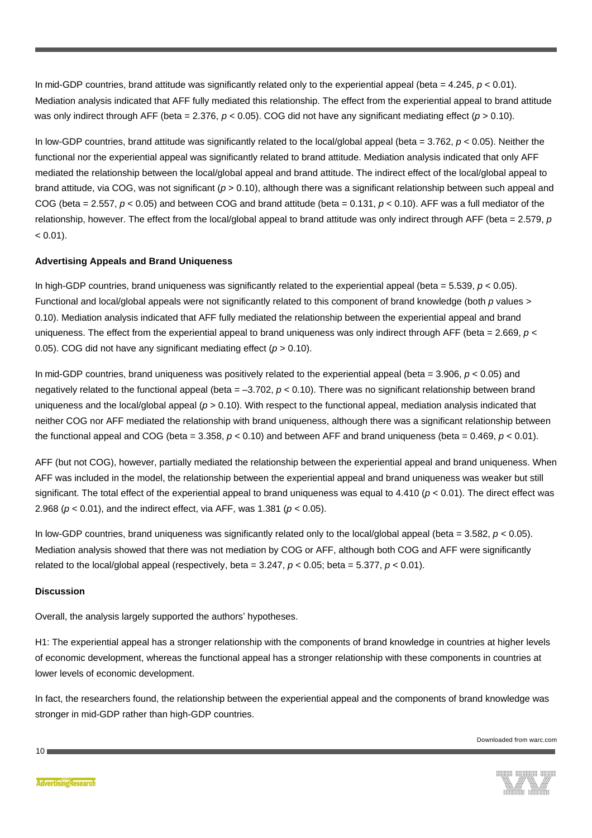In mid-GDP countries, brand attitude was significantly related only to the experiential appeal (beta  $= 4.245$ ,  $p < 0.01$ ). Mediation analysis indicated that AFF fully mediated this relationship. The effect from the experiential appeal to brand attitude was only indirect through AFF (beta = 2.376,  $p < 0.05$ ). COG did not have any significant mediating effect ( $p > 0.10$ ).

In low-GDP countries, brand attitude was significantly related to the local/global appeal (beta = 3.762, *p* < 0.05). Neither the functional nor the experiential appeal was significantly related to brand attitude. Mediation analysis indicated that only AFF mediated the relationship between the local/global appeal and brand attitude. The indirect effect of the local/global appeal to brand attitude, via COG, was not significant (*p* > 0.10), although there was a significant relationship between such appeal and COG (beta = 2.557,  $p < 0.05$ ) and between COG and brand attitude (beta = 0.131,  $p < 0.10$ ). AFF was a full mediator of the relationship, however. The effect from the local/global appeal to brand attitude was only indirect through AFF (beta = 2.579, *p*  $< 0.01$ ).

# **Advertising Appeals and Brand Uniqueness**

In high-GDP countries, brand uniqueness was significantly related to the experiential appeal (beta  $= 5.539$ ,  $p < 0.05$ ). Functional and local/global appeals were not significantly related to this component of brand knowledge (both *p* values > 0.10). Mediation analysis indicated that AFF fully mediated the relationship between the experiential appeal and brand uniqueness. The effect from the experiential appeal to brand uniqueness was only indirect through AFF (beta = 2.669, *p* < 0.05). COG did not have any significant mediating effect (*p* > 0.10).

In mid-GDP countries, brand uniqueness was positively related to the experiential appeal (beta = 3.906, *p* < 0.05) and negatively related to the functional appeal (beta = –3.702, *p* < 0.10). There was no significant relationship between brand uniqueness and the local/global appeal (*p* > 0.10). With respect to the functional appeal, mediation analysis indicated that neither COG nor AFF mediated the relationship with brand uniqueness, although there was a significant relationship between the functional appeal and COG (beta =  $3.358$ ,  $p < 0.10$ ) and between AFF and brand uniqueness (beta =  $0.469$ ,  $p < 0.01$ ).

AFF (but not COG), however, partially mediated the relationship between the experiential appeal and brand uniqueness. When AFF was included in the model, the relationship between the experiential appeal and brand uniqueness was weaker but still significant. The total effect of the experiential appeal to brand uniqueness was equal to  $4.410$  ( $p < 0.01$ ). The direct effect was 2.968 (*p* < 0.01), and the indirect effect, via AFF, was 1.381 (*p* < 0.05).

In low-GDP countries, brand uniqueness was significantly related only to the local/global appeal (beta  $= 3.582$ ,  $p < 0.05$ ). Mediation analysis showed that there was not mediation by COG or AFF, although both COG and AFF were significantly related to the local/global appeal (respectively, beta =  $3.247$ ,  $p < 0.05$ ; beta =  $5.377$ ,  $p < 0.01$ ).

#### **Discussion**

Overall, the analysis largely supported the authors' hypotheses.

H1: The experiential appeal has a stronger relationship with the components of brand knowledge in countries at higher levels of economic development, whereas the functional appeal has a stronger relationship with these components in countries at lower levels of economic development.

In fact, the researchers found, the relationship between the experiential appeal and the components of brand knowledge was stronger in mid-GDP rather than high-GDP countries.

 $10<sub>1</sub>$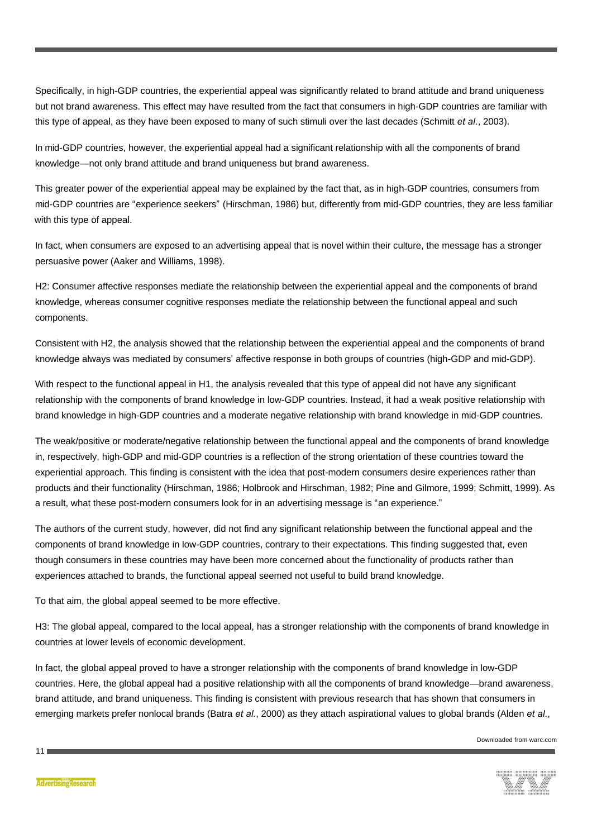Specifically, in high-GDP countries, the experiential appeal was significantly related to brand attitude and brand uniqueness but not brand awareness. This effect may have resulted from the fact that consumers in high-GDP countries are familiar with this type of appeal, as they have been exposed to many of such stimuli over the last decades (Schmitt *et al.*, 2003).

In mid-GDP countries, however, the experiential appeal had a significant relationship with all the components of brand knowledge—not only brand attitude and brand uniqueness but brand awareness.

This greater power of the experiential appeal may be explained by the fact that, as in high-GDP countries, consumers from mid-GDP countries are "experience seekers" (Hirschman, 1986) but, differently from mid-GDP countries, they are less familiar with this type of appeal.

In fact, when consumers are exposed to an advertising appeal that is novel within their culture, the message has a stronger persuasive power (Aaker and Williams, 1998).

H2: Consumer affective responses mediate the relationship between the experiential appeal and the components of brand knowledge, whereas consumer cognitive responses mediate the relationship between the functional appeal and such components.

Consistent with H2, the analysis showed that the relationship between the experiential appeal and the components of brand knowledge always was mediated by consumers' affective response in both groups of countries (high-GDP and mid-GDP).

With respect to the functional appeal in H1, the analysis revealed that this type of appeal did not have any significant relationship with the components of brand knowledge in low-GDP countries. Instead, it had a weak positive relationship with brand knowledge in high-GDP countries and a moderate negative relationship with brand knowledge in mid-GDP countries.

The weak/positive or moderate/negative relationship between the functional appeal and the components of brand knowledge in, respectively, high-GDP and mid-GDP countries is a reflection of the strong orientation of these countries toward the experiential approach. This finding is consistent with the idea that post-modern consumers desire experiences rather than products and their functionality (Hirschman, 1986; Holbrook and Hirschman, 1982; Pine and Gilmore, 1999; Schmitt, 1999). As a result, what these post-modern consumers look for in an advertising message is "an experience."

The authors of the current study, however, did not find any significant relationship between the functional appeal and the components of brand knowledge in low-GDP countries, contrary to their expectations. This finding suggested that, even though consumers in these countries may have been more concerned about the functionality of products rather than experiences attached to brands, the functional appeal seemed not useful to build brand knowledge.

To that aim, the global appeal seemed to be more effective.

H3: The global appeal, compared to the local appeal, has a stronger relationship with the components of brand knowledge in countries at lower levels of economic development.

In fact, the global appeal proved to have a stronger relationship with the components of brand knowledge in low-GDP countries. Here, the global appeal had a positive relationship with all the components of brand knowledge—brand awareness, brand attitude, and brand uniqueness. This finding is consistent with previous research that has shown that consumers in emerging markets prefer nonlocal brands (Batra *et al.*, 2000) as they attach aspirational values to global brands (Alden *et al.*,

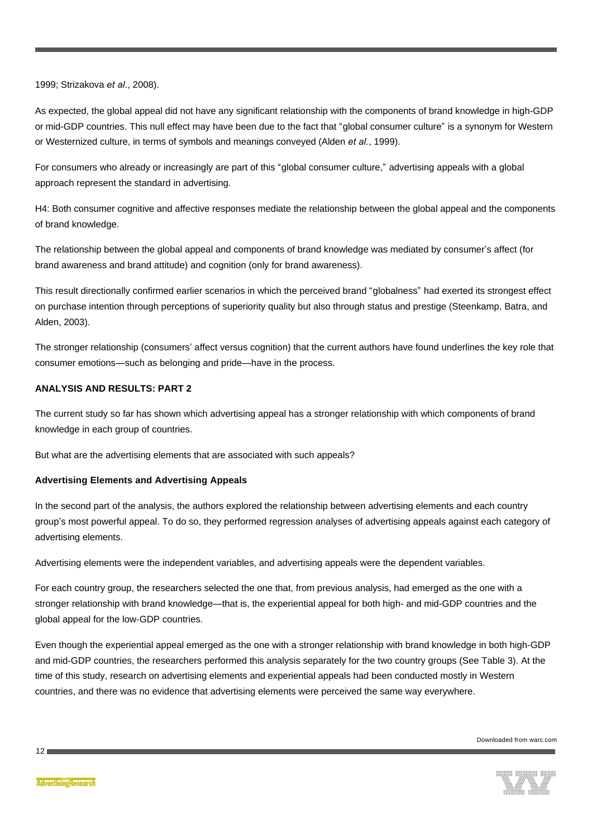1999; Strizakova *et al.*, 2008).

As expected, the global appeal did not have any significant relationship with the components of brand knowledge in high-GDP or mid-GDP countries. This null effect may have been due to the fact that "global consumer culture" is a synonym for Western or Westernized culture, in terms of symbols and meanings conveyed (Alden *et al.*, 1999).

For consumers who already or increasingly are part of this "global consumer culture," advertising appeals with a global approach represent the standard in advertising.

H4: Both consumer cognitive and affective responses mediate the relationship between the global appeal and the components of brand knowledge.

The relationship between the global appeal and components of brand knowledge was mediated by consumer's affect (for brand awareness and brand attitude) and cognition (only for brand awareness).

This result directionally confirmed earlier scenarios in which the perceived brand "globalness" had exerted its strongest effect on purchase intention through perceptions of superiority quality but also through status and prestige (Steenkamp, Batra, and Alden, 2003).

The stronger relationship (consumers' affect versus cognition) that the current authors have found underlines the key role that consumer emotions—such as belonging and pride—have in the process.

# **ANALYSIS AND RESULTS: PART 2**

The current study so far has shown which advertising appeal has a stronger relationship with which components of brand knowledge in each group of countries.

But what are the advertising elements that are associated with such appeals?

#### **Advertising Elements and Advertising Appeals**

In the second part of the analysis, the authors explored the relationship between advertising elements and each country group's most powerful appeal. To do so, they performed regression analyses of advertising appeals against each category of advertising elements.

Advertising elements were the independent variables, and advertising appeals were the dependent variables.

For each country group, the researchers selected the one that, from previous analysis, had emerged as the one with a stronger relationship with brand knowledge—that is, the experiential appeal for both high- and mid-GDP countries and the global appeal for the low-GDP countries.

Even though the experiential appeal emerged as the one with a stronger relationship with brand knowledge in both high-GDP and mid-GDP countries, the researchers performed this analysis separately for the two country groups (See Table 3). At the time of this study, research on advertising elements and experiential appeals had been conducted mostly in Western countries, and there was no evidence that advertising elements were perceived the same way everywhere.

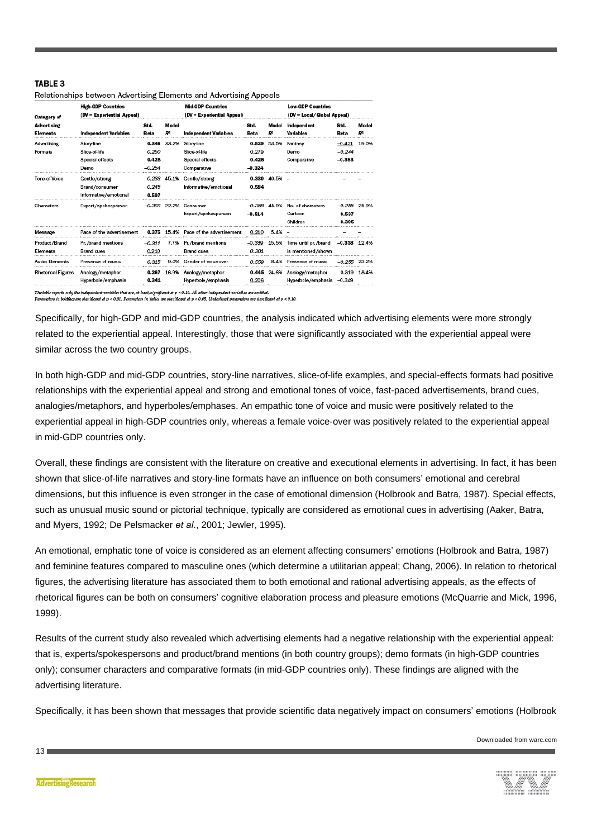#### TARI F 3

Relationships between Advertising Elements and Advertising Appeals

| Category of<br>Advertising<br>Elements | <b>High-GDP Countries</b><br>(DV = Experiential Appeal) | <b>Mid-GDP Countries</b><br>(DV = Experiential Appeal) | <b>Low-GDP Countries</b><br>(DV = Local/Global Appeal) |                                 |                |                    |                                         |                  |             |
|----------------------------------------|---------------------------------------------------------|--------------------------------------------------------|--------------------------------------------------------|---------------------------------|----------------|--------------------|-----------------------------------------|------------------|-------------|
|                                        | Independent Variables                                   | Std.<br>Beta                                           | Model<br>$R^a$                                         | Independent Variables           | Std.<br>Beta   | Model<br>$R^a$     | <b>Independent</b><br>Variables         | Std.<br>Beta     | Model<br>Rª |
| Advertising                            | Story-line                                              |                                                        | 0.346 33.2%                                            | Storv-line                      |                | 0.529 53.5%        | Fantasy                                 | $-0.421$         | 19.0%       |
| Formats                                | Slice-of-life                                           | 0.250                                                  |                                                        | <b>Slice of life</b>            | 0.279          |                    | Demo                                    | $-0.244$         |             |
|                                        | Special effects                                         | 0.428                                                  |                                                        | Special effects                 | 0.425          |                    | Comparative                             | $-0.393$         |             |
|                                        | Demo                                                    | $-0.254$                                               |                                                        | Comparative                     | $-0.324$       |                    |                                         |                  |             |
| Tone-of-Voice                          | Gentle/strong                                           |                                                        |                                                        | 0.233 45.1% Gentle/strong       |                | $0.330$ $40.5\%$ - |                                         |                  |             |
|                                        | Brand/consumer                                          | 0.245                                                  |                                                        | Informative/emotional           | 0.584          |                    |                                         |                  |             |
|                                        | Informative/emotional                                   | 0.597                                                  |                                                        |                                 |                |                    |                                         |                  |             |
| Characters                             | Expert/spokesperson                                     |                                                        |                                                        | $-0.366$ $22.2%$ Consumer       | $-0.358$ 45.9% |                    | No. of characters                       | $-0.255$ $25.9%$ |             |
|                                        |                                                         |                                                        |                                                        | Expert/spokesperson             | $-0.514$       |                    | Cartoon                                 | 0.537            |             |
|                                        |                                                         |                                                        |                                                        |                                 |                |                    | Children                                | 0.395            |             |
| Message                                | Pace of the advertisement                               | 0.375                                                  |                                                        | 15.4% Pace of the advertisement | 0.210          | $5.4%$ -           |                                         |                  |             |
| Product/Brand                          | Pr. /brand mentions                                     | $-0.311$                                               |                                                        | 7.7% Pr./brand mentions         | $-0.339$       |                    | 15.5% Time until pr./brand -0.338 12.4% |                  |             |
| <b>Flements</b>                        | <b>Brand</b> cues                                       | 0.210                                                  |                                                        | <b>Brand</b> cues               | 0.301          |                    | is mentioned/shown                      |                  |             |
| <b>Audio Elements</b>                  | Presence of music                                       | 0.315                                                  |                                                        | 9.0% Gender of voice-over       | 0.559          |                    | 8.4% Presence of music                  | $-0.255$ 23.2%   |             |
| <b>Rhetorical Figures</b>              | Analogy/metaphor                                        |                                                        | 0.267 16.9%                                            | Analogy/metaphor                |                |                    | 0.445 24.6% Analogy/metaphor            |                  | 0.319 18.4% |
|                                        | Hyperbole/emphasis                                      | 0.341                                                  |                                                        | Hyperbole/emphasis              | 0.206          |                    | Hyperbole/emphasis                      | $-0.349$         |             |

.<br>The table reports orly the independent variables that are, at loast, significant at p < 0.10. All other independent variables are omitted.<br>Parameters in boldface are significant at p < 0.01. Parameters in italics are sig

Specifically, for high-GDP and mid-GDP countries, the analysis indicated which advertising elements were more strongly related to the experiential appeal. Interestingly, those that were significantly associated with the experiential appeal were similar across the two country groups.

In both high-GDP and mid-GDP countries, story-line narratives, slice-of-life examples, and special-effects formats had positive relationships with the experiential appeal and strong and emotional tones of voice, fast-paced advertisements, brand cues, analogies/metaphors, and hyperboles/emphases. An empathic tone of voice and music were positively related to the experiential appeal in high-GDP countries only, whereas a female voice-over was positively related to the experiential appeal in mid-GDP countries only.

Overall, these findings are consistent with the literature on creative and executional elements in advertising. In fact, it has been shown that slice-of-life narratives and story-line formats have an influence on both consumers' emotional and cerebral dimensions, but this influence is even stronger in the case of emotional dimension (Holbrook and Batra, 1987). Special effects, such as unusual music sound or pictorial technique, typically are considered as emotional cues in advertising (Aaker, Batra, and Myers, 1992; De Pelsmacker *et al.*, 2001; Jewler, 1995).

An emotional, emphatic tone of voice is considered as an element affecting consumers' emotions (Holbrook and Batra, 1987) and feminine features compared to masculine ones (which determine a utilitarian appeal; Chang, 2006). In relation to rhetorical figures, the advertising literature has associated them to both emotional and rational advertising appeals, as the effects of rhetorical figures can be both on consumers' cognitive elaboration process and pleasure emotions (McQuarrie and Mick, 1996, 1999).

Results of the current study also revealed which advertising elements had a negative relationship with the experiential appeal: that is, experts/spokespersons and product/brand mentions (in both country groups); demo formats (in high-GDP countries only); consumer characters and comparative formats (in mid-GDP countries only). These findings are aligned with the advertising literature.

Specifically, it has been shown that messages that provide scientific data negatively impact on consumers' emotions (Holbrook

Downloaded from warc.com

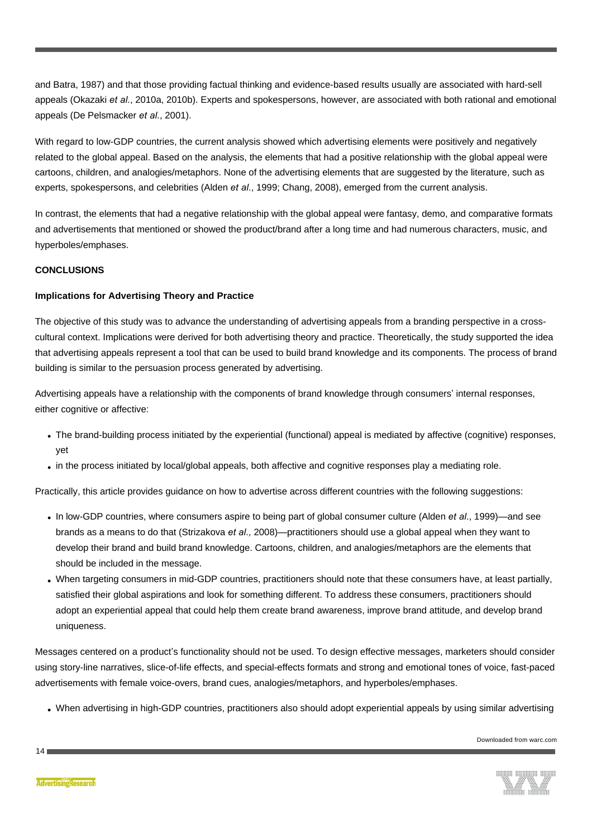and Batra, 1987) and that those providing factual thinking and evidence-based results usually are associated with hard-sell appeals (Okazaki *et al.*, 2010a, 2010b). Experts and spokespersons, however, are associated with both rational and emotional appeals (De Pelsmacker *et al.*, 2001).

With regard to low-GDP countries, the current analysis showed which advertising elements were positively and negatively related to the global appeal. Based on the analysis, the elements that had a positive relationship with the global appeal were cartoons, children, and analogies/metaphors. None of the advertising elements that are suggested by the literature, such as experts, spokespersons, and celebrities (Alden *et al.*, 1999; Chang, 2008), emerged from the current analysis.

In contrast, the elements that had a negative relationship with the global appeal were fantasy, demo, and comparative formats and advertisements that mentioned or showed the product/brand after a long time and had numerous characters, music, and hyperboles/emphases.

# **CONCLUSIONS**

### **Implications for Advertising Theory and Practice**

The objective of this study was to advance the understanding of advertising appeals from a branding perspective in a crosscultural context. Implications were derived for both advertising theory and practice. Theoretically, the study supported the idea that advertising appeals represent a tool that can be used to build brand knowledge and its components. The process of brand building is similar to the persuasion process generated by advertising.

Advertising appeals have a relationship with the components of brand knowledge through consumers' internal responses, either cognitive or affective:

- The brand-building process initiated by the experiential (functional) appeal is mediated by affective (cognitive) responses, yet
- in the process initiated by local/global appeals, both affective and cognitive responses play a mediating role.

Practically, this article provides guidance on how to advertise across different countries with the following suggestions:

- <sup>l</sup> In low-GDP countries, where consumers aspire to being part of global consumer culture (Alden *et al.*, 1999)—and see brands as a means to do that (Strizakova *et al.,* 2008)—practitioners should use a global appeal when they want to develop their brand and build brand knowledge. Cartoons, children, and analogies/metaphors are the elements that should be included in the message.
- <sup>l</sup> When targeting consumers in mid-GDP countries, practitioners should note that these consumers have, at least partially, satisfied their global aspirations and look for something different. To address these consumers, practitioners should adopt an experiential appeal that could help them create brand awareness, improve brand attitude, and develop brand uniqueness.

Messages centered on a product's functionality should not be used. To design effective messages, marketers should consider using story-line narratives, slice-of-life effects, and special-effects formats and strong and emotional tones of voice, fast-paced advertisements with female voice-overs, brand cues, analogies/metaphors, and hyperboles/emphases.

• When advertising in high-GDP countries, practitioners also should adopt experiential appeals by using similar advertising

Downloaded from warc.com



 $14<sub>1</sub>$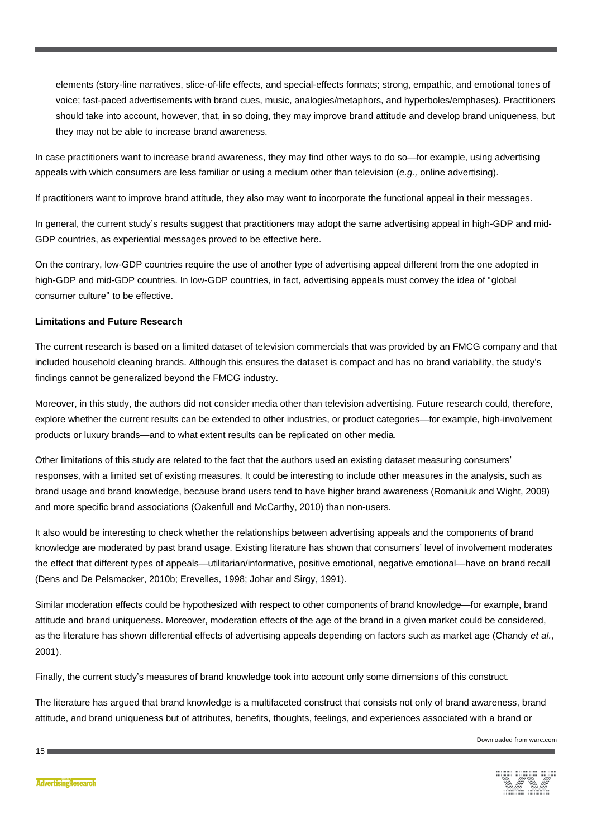elements (story-line narratives, slice-of-life effects, and special-effects formats; strong, empathic, and emotional tones of voice; fast-paced advertisements with brand cues, music, analogies/metaphors, and hyperboles/emphases). Practitioners should take into account, however, that, in so doing, they may improve brand attitude and develop brand uniqueness, but they may not be able to increase brand awareness.

In case practitioners want to increase brand awareness, they may find other ways to do so—for example, using advertising appeals with which consumers are less familiar or using a medium other than television (*e.g.,* online advertising).

If practitioners want to improve brand attitude, they also may want to incorporate the functional appeal in their messages.

In general, the current study's results suggest that practitioners may adopt the same advertising appeal in high-GDP and mid-GDP countries, as experiential messages proved to be effective here.

On the contrary, low-GDP countries require the use of another type of advertising appeal different from the one adopted in high-GDP and mid-GDP countries. In low-GDP countries, in fact, advertising appeals must convey the idea of "global consumer culture" to be effective.

# **Limitations and Future Research**

The current research is based on a limited dataset of television commercials that was provided by an FMCG company and that included household cleaning brands. Although this ensures the dataset is compact and has no brand variability, the study's findings cannot be generalized beyond the FMCG industry.

Moreover, in this study, the authors did not consider media other than television advertising. Future research could, therefore, explore whether the current results can be extended to other industries, or product categories—for example, high-involvement products or luxury brands—and to what extent results can be replicated on other media.

Other limitations of this study are related to the fact that the authors used an existing dataset measuring consumers' responses, with a limited set of existing measures. It could be interesting to include other measures in the analysis, such as brand usage and brand knowledge, because brand users tend to have higher brand awareness (Romaniuk and Wight, 2009) and more specific brand associations (Oakenfull and McCarthy, 2010) than non-users.

It also would be interesting to check whether the relationships between advertising appeals and the components of brand knowledge are moderated by past brand usage. Existing literature has shown that consumers' level of involvement moderates the effect that different types of appeals—utilitarian/informative, positive emotional, negative emotional—have on brand recall (Dens and De Pelsmacker, 2010b; Erevelles, 1998; Johar and Sirgy, 1991).

Similar moderation effects could be hypothesized with respect to other components of brand knowledge—for example, brand attitude and brand uniqueness. Moreover, moderation effects of the age of the brand in a given market could be considered, as the literature has shown differential effects of advertising appeals depending on factors such as market age (Chandy *et al.*, 2001).

Finally, the current study's measures of brand knowledge took into account only some dimensions of this construct.

The literature has argued that brand knowledge is a multifaceted construct that consists not only of brand awareness, brand attitude, and brand uniqueness but of attributes, benefits, thoughts, feelings, and experiences associated with a brand or

Downloaded from warc.com

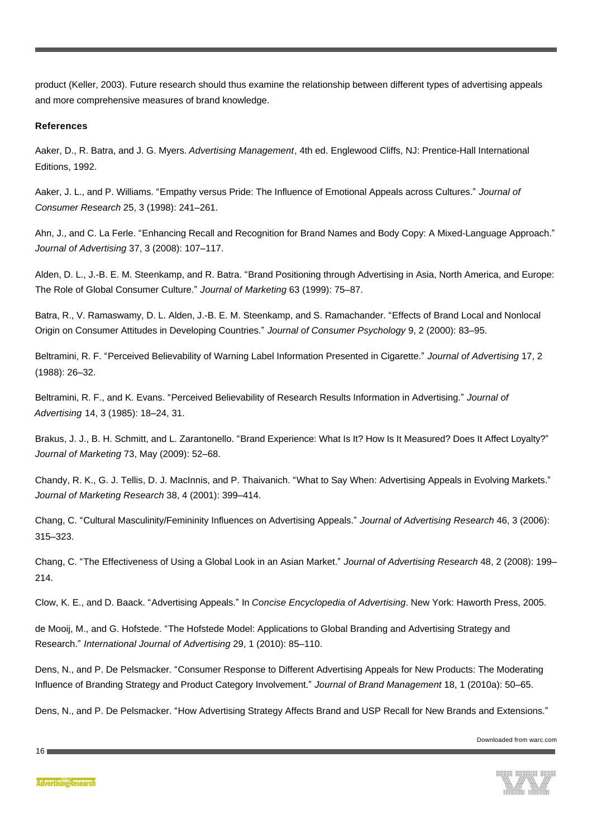product (Keller, 2003). Future research should thus examine the relationship between different types of advertising appeals and more comprehensive measures of brand knowledge.

# **References**

Aaker, D., R. Batra, and J. G. Myers. *Advertising Management*, 4th ed. Englewood Cliffs, NJ: Prentice-Hall International Editions, 1992.

Aaker, J. L., and P. Williams. "Empathy versus Pride: The Influence of Emotional Appeals across Cultures." *Journal of Consumer Research* 25, 3 (1998): 241–261.

Ahn, J., and C. La Ferle. "Enhancing Recall and Recognition for Brand Names and Body Copy: A Mixed-Language Approach." *Journal of Advertising* 37, 3 (2008): 107–117.

Alden, D. L., J.-B. E. M. Steenkamp, and R. Batra. "Brand Positioning through Advertising in Asia, North America, and Europe: The Role of Global Consumer Culture." *Journal of Marketing* 63 (1999): 75–87.

Batra, R., V. Ramaswamy, D. L. Alden, J.-B. E. M. Steenkamp, and S. Ramachander. "Effects of Brand Local and Nonlocal Origin on Consumer Attitudes in Developing Countries." *Journal of Consumer Psychology* 9, 2 (2000): 83–95.

Beltramini, R. F. "Perceived Believability of Warning Label Information Presented in Cigarette." *Journal of Advertising* 17, 2 (1988): 26–32.

Beltramini, R. F., and K. Evans. "Perceived Believability of Research Results Information in Advertising." *Journal of Advertising* 14, 3 (1985): 18–24, 31.

Brakus, J. J., B. H. Schmitt, and L. Zarantonello. "Brand Experience: What Is It? How Is It Measured? Does It Affect Loyalty?" *Journal of Marketing* 73, May (2009): 52–68.

Chandy, R. K., G. J. Tellis, D. J. MacInnis, and P. Thaivanich. "What to Say When: Advertising Appeals in Evolving Markets." *Journal of Marketing Research* 38, 4 (2001): 399–414.

Chang, C. "Cultural Masculinity/Femininity Influences on Advertising Appeals." *Journal of Advertising Research* 46, 3 (2006): 315–323.

Chang, C. "The Effectiveness of Using a Global Look in an Asian Market." *Journal of Advertising Research* 48, 2 (2008): 199– 214.

Clow, K. E., and D. Baack. "Advertising Appeals." In *Concise Encyclopedia of Advertising*. New York: Haworth Press, 2005.

de Mooij, M., and G. Hofstede. "The Hofstede Model: Applications to Global Branding and Advertising Strategy and Research." *International Journal of Advertising* 29, 1 (2010): 85–110.

Dens, N., and P. De Pelsmacker. "Consumer Response to Different Advertising Appeals for New Products: The Moderating Influence of Branding Strategy and Product Category Involvement." *Journal of Brand Management* 18, 1 (2010a): 50–65.

Dens, N., and P. De Pelsmacker. "How Advertising Strategy Affects Brand and USP Recall for New Brands and Extensions."

Downloaded from warc.com

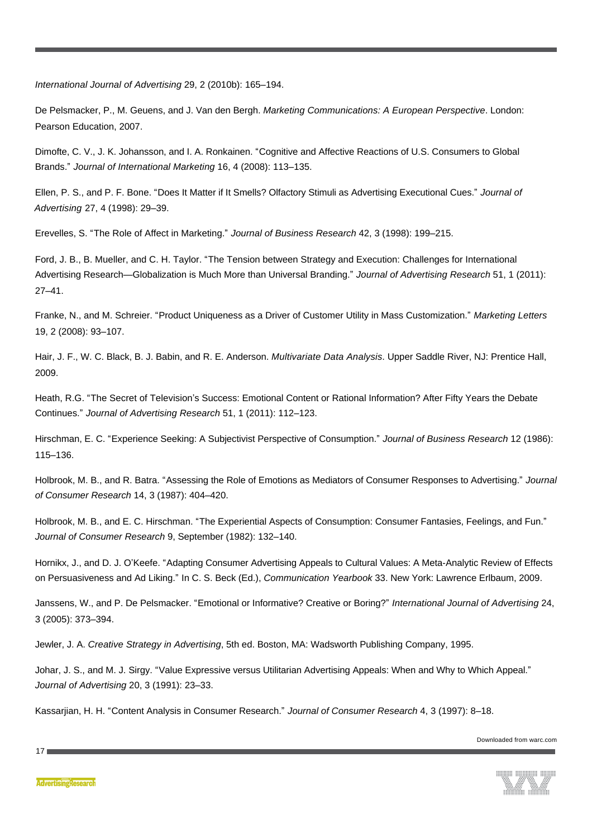*International Journal of Advertising* 29, 2 (2010b): 165–194.

De Pelsmacker, P., M. Geuens, and J. Van den Bergh. *Marketing Communications: A European Perspective*. London: Pearson Education, 2007.

Dimofte, C. V., J. K. Johansson, and I. A. Ronkainen. "Cognitive and Affective Reactions of U.S. Consumers to Global Brands." *Journal of International Marketing* 16, 4 (2008): 113–135.

Ellen, P. S., and P. F. Bone. "Does It Matter if It Smells? Olfactory Stimuli as Advertising Executional Cues." *Journal of Advertising* 27, 4 (1998): 29–39.

Erevelles, S. "The Role of Affect in Marketing." *Journal of Business Research* 42, 3 (1998): 199–215.

Ford, J. B., B. Mueller, and C. H. Taylor. "The Tension between Strategy and Execution: Challenges for International Advertising Research—Globalization is Much More than Universal Branding." *Journal of Advertising Research* 51, 1 (2011): 27–41.

Franke, N., and M. Schreier. "Product Uniqueness as a Driver of Customer Utility in Mass Customization." *Marketing Letters* 19, 2 (2008): 93–107.

Hair, J. F., W. C. Black, B. J. Babin, and R. E. Anderson. *Multivariate Data Analysis*. Upper Saddle River, NJ: Prentice Hall, 2009.

Heath, R.G. "The Secret of Television's Success: Emotional Content or Rational Information? After Fifty Years the Debate Continues." *Journal of Advertising Research* 51, 1 (2011): 112–123.

Hirschman, E. C. "Experience Seeking: A Subjectivist Perspective of Consumption." *Journal of Business Research* 12 (1986): 115–136.

Holbrook, M. B., and R. Batra. "Assessing the Role of Emotions as Mediators of Consumer Responses to Advertising." *Journal of Consumer Research* 14, 3 (1987): 404–420.

Holbrook, M. B., and E. C. Hirschman. "The Experiential Aspects of Consumption: Consumer Fantasies, Feelings, and Fun." *Journal of Consumer Research* 9, September (1982): 132–140.

Hornikx, J., and D. J. O'Keefe. "Adapting Consumer Advertising Appeals to Cultural Values: A Meta-Analytic Review of Effects on Persuasiveness and Ad Liking." In C. S. Beck (Ed.), *Communication Yearbook* 33. New York: Lawrence Erlbaum, 2009.

Janssens, W., and P. De Pelsmacker. "Emotional or Informative? Creative or Boring?" *International Journal of Advertising* 24, 3 (2005): 373–394.

Jewler, J. A. *Creative Strategy in Advertising*, 5th ed. Boston, MA: Wadsworth Publishing Company, 1995.

Johar, J. S., and M. J. Sirgy. "Value Expressive versus Utilitarian Advertising Appeals: When and Why to Which Appeal." *Journal of Advertising* 20, 3 (1991): 23–33.

Kassarjian, H. H. "Content Analysis in Consumer Research." *Journal of Consumer Research* 4, 3 (1997): 8–18.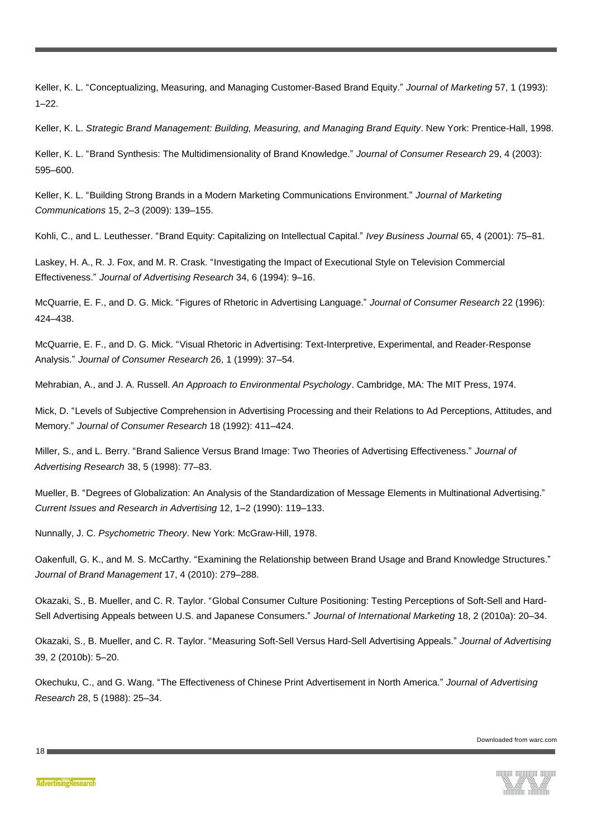Keller, K. L. "Conceptualizing, Measuring, and Managing Customer-Based Brand Equity." *Journal of Marketing* 57, 1 (1993):  $1 - 22$ .

Keller, K. L. *Strategic Brand Management: Building, Measuring, and Managing Brand Equity*. New York: Prentice-Hall, 1998.

Keller, K. L. "Brand Synthesis: The Multidimensionality of Brand Knowledge." *Journal of Consumer Research* 29, 4 (2003): 595–600.

Keller, K. L. "Building Strong Brands in a Modern Marketing Communications Environment." *Journal of Marketing Communications* 15, 2–3 (2009): 139–155.

Kohli, C., and L. Leuthesser. "Brand Equity: Capitalizing on Intellectual Capital." *Ivey Business Journal* 65, 4 (2001): 75–81.

Laskey, H. A., R. J. Fox, and M. R. Crask. "Investigating the Impact of Executional Style on Television Commercial Effectiveness." *Journal of Advertising Research* 34, 6 (1994): 9–16.

McQuarrie, E. F., and D. G. Mick. "Figures of Rhetoric in Advertising Language." *Journal of Consumer Research* 22 (1996): 424–438.

McQuarrie, E. F., and D. G. Mick. "Visual Rhetoric in Advertising: Text-Interpretive, Experimental, and Reader-Response Analysis." *Journal of Consumer Research* 26, 1 (1999): 37–54.

Mehrabian, A., and J. A. Russell. *An Approach to Environmental Psychology*. Cambridge, MA: The MIT Press, 1974.

Mick, D. "Levels of Subjective Comprehension in Advertising Processing and their Relations to Ad Perceptions, Attitudes, and Memory." *Journal of Consumer Research* 18 (1992): 411–424.

Miller, S., and L. Berry. "Brand Salience Versus Brand Image: Two Theories of Advertising Effectiveness." *Journal of Advertising Research* 38, 5 (1998): 77–83.

Mueller, B. "Degrees of Globalization: An Analysis of the Standardization of Message Elements in Multinational Advertising." *Current Issues and Research in Advertising* 12, 1–2 (1990): 119–133.

Nunnally, J. C. *Psychometric Theory*. New York: McGraw-Hill, 1978.

Oakenfull, G. K., and M. S. McCarthy. "Examining the Relationship between Brand Usage and Brand Knowledge Structures." *Journal of Brand Management* 17, 4 (2010): 279–288.

Okazaki, S., B. Mueller, and C. R. Taylor. "Global Consumer Culture Positioning: Testing Perceptions of Soft-Sell and Hard-Sell Advertising Appeals between U.S. and Japanese Consumers." *Journal of International Marketing* 18, 2 (2010a): 20–34.

Okazaki, S., B. Mueller, and C. R. Taylor. "Measuring Soft-Sell Versus Hard-Sell Advertising Appeals." *Journal of Advertising* 39, 2 (2010b): 5–20.

Okechuku, C., and G. Wang. "The Effectiveness of Chinese Print Advertisement in North America." *Journal of Advertising Research* 28, 5 (1988): 25–34.

Downloaded from warc.com

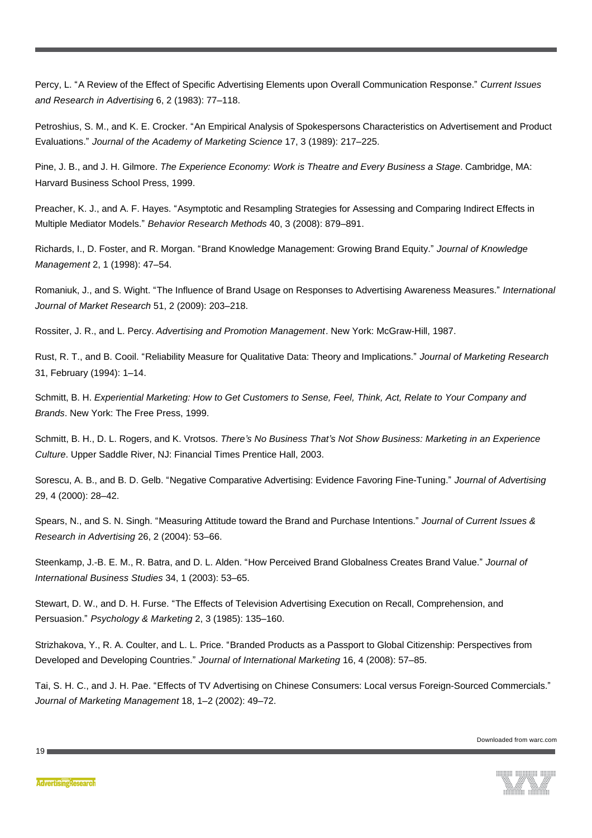Percy, L. "A Review of the Effect of Specific Advertising Elements upon Overall Communication Response." *Current Issues and Research in Advertising* 6, 2 (1983): 77–118.

Petroshius, S. M., and K. E. Crocker. "An Empirical Analysis of Spokespersons Characteristics on Advertisement and Product Evaluations." *Journal of the Academy of Marketing Science* 17, 3 (1989): 217–225.

Pine, J. B., and J. H. Gilmore. *The Experience Economy: Work is Theatre and Every Business a Stage*. Cambridge, MA: Harvard Business School Press, 1999.

Preacher, K. J., and A. F. Hayes. "Asymptotic and Resampling Strategies for Assessing and Comparing Indirect Effects in Multiple Mediator Models." *Behavior Research Methods* 40, 3 (2008): 879–891.

Richards, I., D. Foster, and R. Morgan. "Brand Knowledge Management: Growing Brand Equity." *Journal of Knowledge Management* 2, 1 (1998): 47–54.

Romaniuk, J., and S. Wight. "The Influence of Brand Usage on Responses to Advertising Awareness Measures." *International Journal of Market Research* 51, 2 (2009): 203–218.

Rossiter, J. R., and L. Percy. *Advertising and Promotion Management*. New York: McGraw-Hill, 1987.

Rust, R. T., and B. Cooil. "Reliability Measure for Qualitative Data: Theory and Implications." *Journal of Marketing Research* 31, February (1994): 1–14.

Schmitt, B. H. *Experiential Marketing: How to Get Customers to Sense, Feel, Think, Act, Relate to Your Company and Brands*. New York: The Free Press, 1999.

Schmitt, B. H., D. L. Rogers, and K. Vrotsos. *There's No Business That's Not Show Business: Marketing in an Experience Culture*. Upper Saddle River, NJ: Financial Times Prentice Hall, 2003.

Sorescu, A. B., and B. D. Gelb. "Negative Comparative Advertising: Evidence Favoring Fine-Tuning." *Journal of Advertising* 29, 4 (2000): 28–42.

Spears, N., and S. N. Singh. "Measuring Attitude toward the Brand and Purchase Intentions." *Journal of Current Issues & Research in Advertising* 26, 2 (2004): 53–66.

Steenkamp, J.-B. E. M., R. Batra, and D. L. Alden. "How Perceived Brand Globalness Creates Brand Value." *Journal of International Business Studies* 34, 1 (2003): 53–65.

Stewart, D. W., and D. H. Furse. "The Effects of Television Advertising Execution on Recall, Comprehension, and Persuasion." *Psychology & Marketing* 2, 3 (1985): 135–160.

Strizhakova, Y., R. A. Coulter, and L. L. Price. "Branded Products as a Passport to Global Citizenship: Perspectives from Developed and Developing Countries." *Journal of International Marketing* 16, 4 (2008): 57–85.

Tai, S. H. C., and J. H. Pae. "Effects of TV Advertising on Chinese Consumers: Local versus Foreign-Sourced Commercials." *Journal of Marketing Management* 18, 1–2 (2002): 49–72.

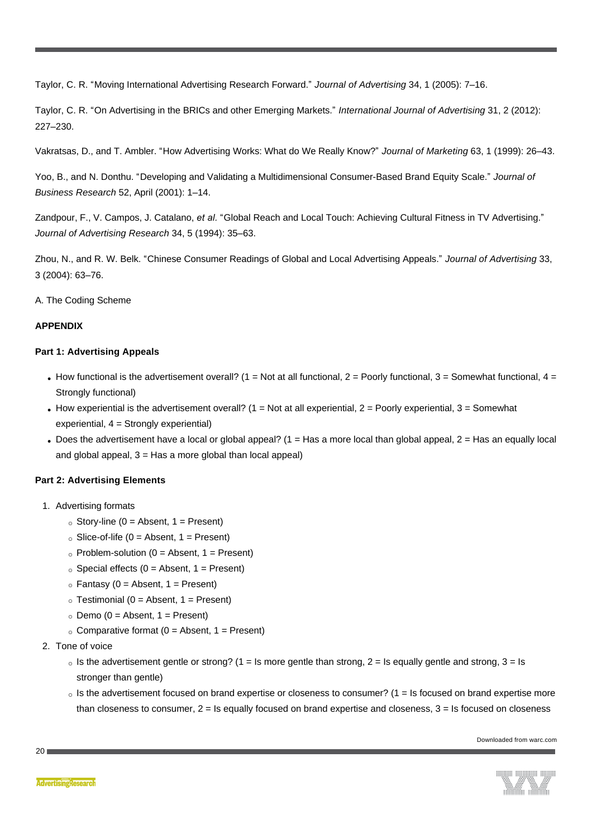Taylor, C. R. "Moving International Advertising Research Forward." *Journal of Advertising* 34, 1 (2005): 7–16.

Taylor, C. R. "On Advertising in the BRICs and other Emerging Markets." *International Journal of Advertising* 31, 2 (2012): 227–230.

Vakratsas, D., and T. Ambler. "How Advertising Works: What do We Really Know?" *Journal of Marketing* 63, 1 (1999): 26–43.

Yoo, B., and N. Donthu. "Developing and Validating a Multidimensional Consumer-Based Brand Equity Scale." *Journal of Business Research* 52, April (2001): 1–14.

Zandpour, F., V. Campos, J. Catalano, *et al.* "Global Reach and Local Touch: Achieving Cultural Fitness in TV Advertising." *Journal of Advertising Research* 34, 5 (1994): 35–63.

Zhou, N., and R. W. Belk. "Chinese Consumer Readings of Global and Local Advertising Appeals." *Journal of Advertising* 33, 3 (2004): 63–76.

A. The Coding Scheme

# **APPENDIX**

# **Part 1: Advertising Appeals**

- How functional is the advertisement overall? (1 = Not at all functional, 2 = Poorly functional, 3 = Somewhat functional, 4 = Strongly functional)
- How experiential is the advertisement overall? (1 = Not at all experiential,  $2$  = Poorly experiential,  $3$  = Somewhat experiential, 4 = Strongly experiential)
- Does the advertisement have a local or global appeal?  $(1 = Has a$  more local than global appeal,  $2 = Has$  an equally local and global appeal,  $3 = Has$  a more global than local appeal)

# **Part 2: Advertising Elements**

- 1. Advertising formats
	- $\circ$  Story-line (0 = Absent, 1 = Present)
	- $\circ$  Slice-of-life (0 = Absent, 1 = Present)
	- $\circ$  Problem-solution (0 = Absent, 1 = Present)
	- $\circ$  Special effects (0 = Absent, 1 = Present)
	- $\circ$  Fantasy (0 = Absent, 1 = Present)
	- $\circ$  Testimonial (0 = Absent, 1 = Present)
	- $\circ$  Demo (0 = Absent, 1 = Present)
	- $\circ$  Comparative format (0 = Absent, 1 = Present)
- 2. Tone of voice
	- $\circ$  Is the advertisement gentle or strong? (1 = Is more gentle than strong, 2 = Is equally gentle and strong, 3 = Is stronger than gentle)
	- $\circ$  Is the advertisement focused on brand expertise or closeness to consumer? (1 = Is focused on brand expertise more than closeness to consumer,  $2 =$  Is equally focused on brand expertise and closeness,  $3 =$  Is focused on closeness



 $20<sub>1</sub>$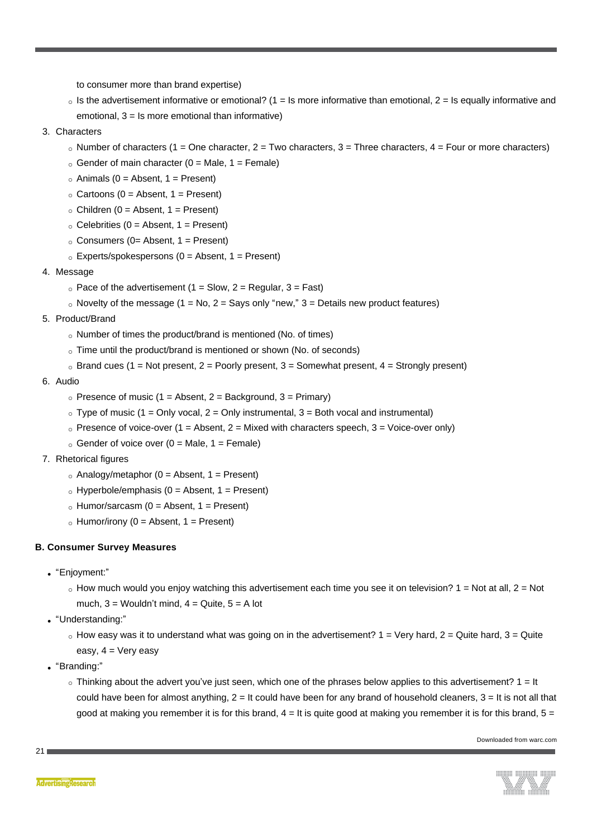to consumer more than brand expertise)

- $\circ$  Is the advertisement informative or emotional? (1 = Is more informative than emotional, 2 = Is equally informative and emotional, 3 = Is more emotional than informative)
- 3. Characters
	- $\circ$  Number of characters (1 = One character, 2 = Two characters, 3 = Three characters, 4 = Four or more characters)
	- $\circ$  Gender of main character (0 = Male, 1 = Female)
	- $\circ$  Animals (0 = Absent, 1 = Present)
	- $\circ$  Cartoons (0 = Absent, 1 = Present)
	- $\circ$  Children (0 = Absent, 1 = Present)
	- $\circ$  Celebrities (0 = Absent, 1 = Present)
	- $\circ$  Consumers (0= Absent, 1 = Present)
	- $\circ$  Experts/spokespersons (0 = Absent, 1 = Present)
- 4. Message
	- $\circ$  Pace of the advertisement (1 = Slow, 2 = Regular, 3 = Fast)
	- $\circ$  Novelty of the message (1 = No, 2 = Says only "new," 3 = Details new product features)
- 5. Product/Brand
	- o Number of times the product/brand is mentioned (No. of times)
	- $\circ$  Time until the product/brand is mentioned or shown (No. of seconds)
	- $\circ$  Brand cues (1 = Not present, 2 = Poorly present, 3 = Somewhat present, 4 = Strongly present)
- 6. Audio
	- $\circ$  Presence of music (1 = Absent, 2 = Background, 3 = Primary)
	- $\circ$  Type of music (1 = Only vocal, 2 = Only instrumental, 3 = Both vocal and instrumental)
	- $\circ$  Presence of voice-over (1 = Absent, 2 = Mixed with characters speech, 3 = Voice-over only)
	- $\circ$  Gender of voice over (0 = Male, 1 = Female)
- 7. Rhetorical figures
	- $\circ$  Analogy/metaphor (0 = Absent, 1 = Present)
	- $\circ$  Hyperbole/emphasis (0 = Absent, 1 = Present)
	- $\circ$  Humor/sarcasm (0 = Absent, 1 = Present)
	- $\circ$  Humor/irony (0 = Absent, 1 = Present)

#### **B. Consumer Survey Measures**

- <sup>l</sup> "Enjoyment:"
	- $\circ$  How much would you enjoy watching this advertisement each time you see it on television? 1 = Not at all, 2 = Not much,  $3 =$  Wouldn't mind,  $4 =$  Quite,  $5 =$  A lot
- <sup>l</sup> "Understanding:"
	- $\circ$  How easy was it to understand what was going on in the advertisement? 1 = Very hard, 2 = Quite hard, 3 = Quite easy,  $4 =$  Very easy
- <sup>l</sup> "Branding:"
	- $\circ$  Thinking about the advert you've just seen, which one of the phrases below applies to this advertisement?  $1 =$  It could have been for almost anything,  $2 =$  It could have been for any brand of household cleaners,  $3 =$  It is not all that good at making you remember it is for this brand,  $4 =$  It is quite good at making you remember it is for this brand,  $5 =$



 $21<sub>1</sub>$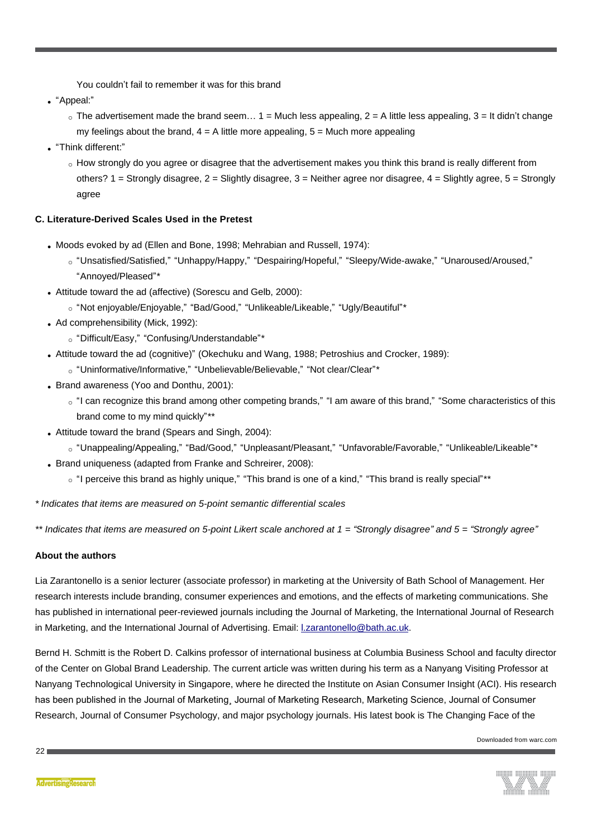You couldn't fail to remember it was for this brand

- <sup>l</sup> "Appeal:"
	- $\circ$  The advertisement made the brand seem... 1 = Much less appealing, 2 = A little less appealing, 3 = It didn't change my feelings about the brand,  $4 = A$  little more appealing,  $5 = Much$  more appealing
- <sup>l</sup> "Think different:"
	- o How strongly do you agree or disagree that the advertisement makes you think this brand is really different from others?  $1 =$  Strongly disagree,  $2 =$  Slightly disagree,  $3 =$  Neither agree nor disagree,  $4 =$  Slightly agree,  $5 =$  Strongly agree

# **C. Literature-Derived Scales Used in the Pretest**

- Moods evoked by ad (Ellen and Bone, 1998; Mehrabian and Russell, 1974):
	- ¡ "Unsatisfied/Satisfied," "Unhappy/Happy," "Despairing/Hopeful," "Sleepy/Wide-awake," "Unaroused/Aroused," "Annoyed/Pleased"\*
- Attitude toward the ad (affective) (Sorescu and Gelb, 2000):
	- ¡ "Not enjoyable/Enjoyable," "Bad/Good," "Unlikeable/Likeable," "Ugly/Beautiful"\*
- $\bullet$  Ad comprehensibility (Mick, 1992):
	- ¡ "Difficult/Easy," "Confusing/Understandable"\*
- <sup>l</sup> Attitude toward the ad (cognitive)" (Okechuku and Wang, 1988; Petroshius and Crocker, 1989):
	- ¡ "Uninformative/Informative," "Unbelievable/Believable," "Not clear/Clear"\*
- Brand awareness (Yoo and Donthu, 2001):
	- $\circ$  "I can recognize this brand among other competing brands," "I am aware of this brand," "Some characteristics of this brand come to my mind quickly"\*\*
- Attitude toward the brand (Spears and Singh, 2004):
	- ¡ "Unappealing/Appealing," "Bad/Good," "Unpleasant/Pleasant," "Unfavorable/Favorable," "Unlikeable/Likeable"\*
- Brand uniqueness (adapted from Franke and Schreirer, 2008):
	- $\circ$  "I perceive this brand as highly unique," "This brand is one of a kind," "This brand is really special"\*\*

*\* Indicates that items are measured on 5-point semantic differential scales*

*\*\* Indicates that items are measured on 5-point Likert scale anchored at 1 = "Strongly disagree" and 5 = "Strongly agree"*

# **About the authors**

<span id="page-21-0"></span>Lia Zarantonello is a senior lecturer (associate professor) in marketing at the University of Bath School of Management. Her research interests include branding, consumer experiences and emotions, and the effects of marketing communications. She has published in international peer-reviewed journals including the Journal of Marketing, the International Journal of Research in Marketing, and the International Journal of Advertising. Email: [l.zarantonello@bath.ac.uk.](mailto:%20l.zarantonello@bath.ac.uk)

<span id="page-21-1"></span>Bernd H. Schmitt is the Robert D. Calkins professor of international business at Columbia Business School and faculty director of the Center on Global Brand Leadership. The current article was written during his term as a Nanyang Visiting Professor at Nanyang Technological University in Singapore, where he directed the Institute on Asian Consumer Insight (ACI). His research has been published in the Journal of Marketing¸ Journal of Marketing Research, Marketing Science, Journal of Consumer Research, Journal of Consumer Psychology, and major psychology journals. His latest book is The Changing Face of the